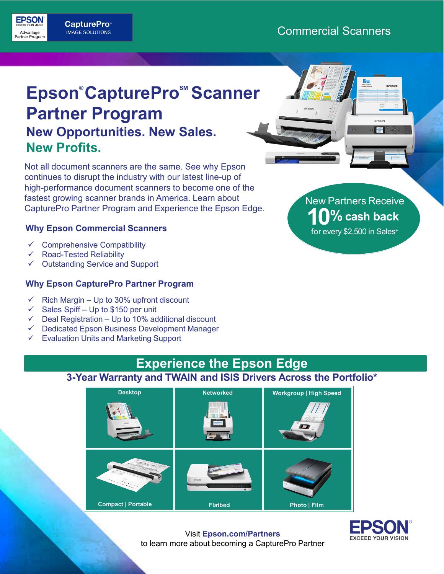## **CapturePro Capture Commercial Scanners**<br>
Partier Program MAGE SOLUTIONS<br>
Partier Program

**EPSON** 

## **Epson® CapturePro<sup>™</sup> Scanner Partner Program New Opportunities. New Sales. New Profits.**

Not all document scanners are the same. See why Epson continues to disrupt the industry with our latest line-up of high-performance document scanners to become one of the fastest growing scanner brands in America. Learn about CapturePro Partner Program and Experience the Epson Edge.

#### **Why Epson Commercial Scanners**

- Comprehensive Compatibility
- Road-Tested Reliability
- Outstanding Service and Support

#### **Why Epson CapturePro Partner Program**

- $\checkmark$  Rich Margin Up to 30% upfront discount
- $\checkmark$  Sales Spiff Up to \$150 per unit
- Deal Registration Up to 10% additional discount
- $\checkmark$  Dedicated Epson Business Development Manager
- $\checkmark$  Evaluation Units and Marketing Support



**DAG** 

## **Experience the Epson Edge**

**3-Year Warranty and TWAIN and ISIS Drivers Across the Portfolio\***





Visit **Epson.com/Partners** to learn more about becoming a CapturePro Partner